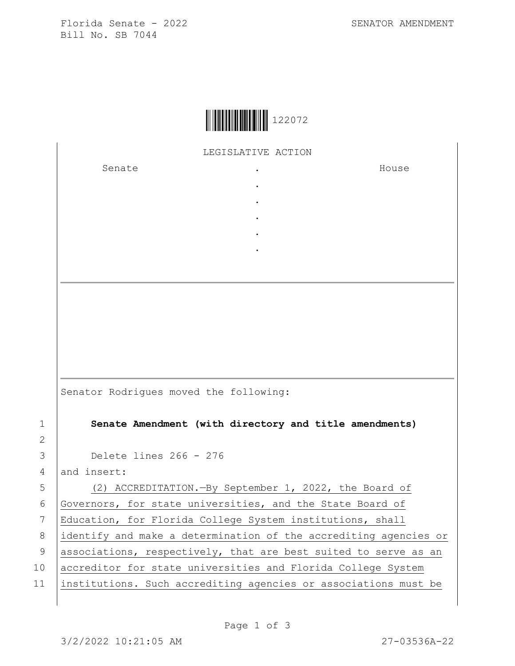Florida Senate - 2022 SENATOR AMENDMENT Bill No. SB 7044

|  | 122072 |
|--|--------|
|--|--------|

LEGISLATIVE ACTION

. . . . .

Senate the senate of the senate  $\cdot$ 

House

Senator Rodrigues moved the following:

1 **Senate Amendment (with directory and title amendments)**

3 Delete lines 266 - 276

 $4$  and insert:

5 (2) ACCREDITATION.—By September 1, 2022, the Board of

6 Governors, for state universities, and the State Board of

7 Education, for Florida College System institutions, shall 8 identify and make a determination of the accrediting agencies or

2

9  $|$  associations, respectively, that are best suited to serve as an

10 accreditor for state universities and Florida College System

11 institutions. Such accrediting agencies or associations must be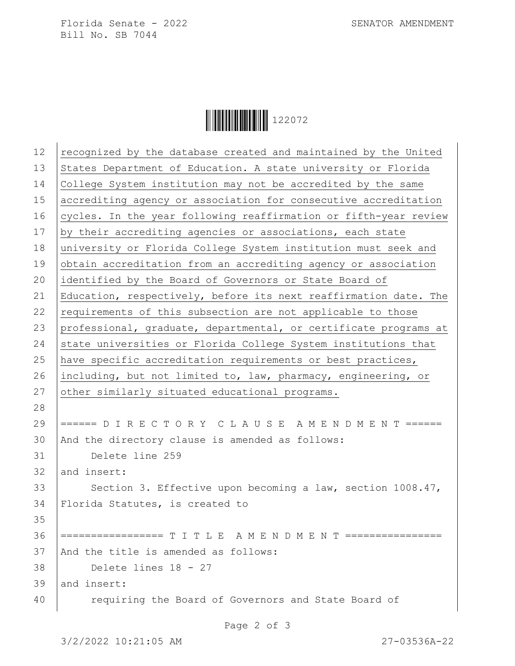Florida Senate - 2022 SENATOR AMENDMENT Bill No. SB 7044

Ì122072vÎ122072

| 12 | recognized by the database created and maintained by the United  |
|----|------------------------------------------------------------------|
| 13 | States Department of Education. A state university or Florida    |
| 14 | College System institution may not be accredited by the same     |
| 15 | accrediting agency or association for consecutive accreditation  |
| 16 | cycles. In the year following reaffirmation or fifth-year review |
| 17 | by their accrediting agencies or associations, each state        |
| 18 | university or Florida College System institution must seek and   |
| 19 | obtain accreditation from an accrediting agency or association   |
| 20 | identified by the Board of Governors or State Board of           |
| 21 | Education, respectively, before its next reaffirmation date. The |
| 22 | requirements of this subsection are not applicable to those      |
| 23 | professional, graduate, departmental, or certificate programs at |
| 24 | state universities or Florida College System institutions that   |
| 25 | have specific accreditation requirements or best practices,      |
| 26 | including, but not limited to, law, pharmacy, engineering, or    |
| 27 | other similarly situated educational programs.                   |
| 28 |                                                                  |
| 29 | ====== D I R E C T O R Y C L A U S E A M E N D M E N T ======    |
| 30 | And the directory clause is amended as follows:                  |
| 31 | Delete line 259                                                  |
| 32 | and insert:                                                      |
| 33 | Section 3. Effective upon becoming a law, section 1008.47,       |
| 34 | Florida Statutes, is created to                                  |
| 35 |                                                                  |
| 36 | ================= T I T L E A M E N D M E N T ================   |
| 37 | And the title is amended as follows:                             |
| 38 | Delete lines 18 - 27                                             |
| 39 | and insert:                                                      |
| 40 | requiring the Board of Governors and State Board of              |
|    |                                                                  |